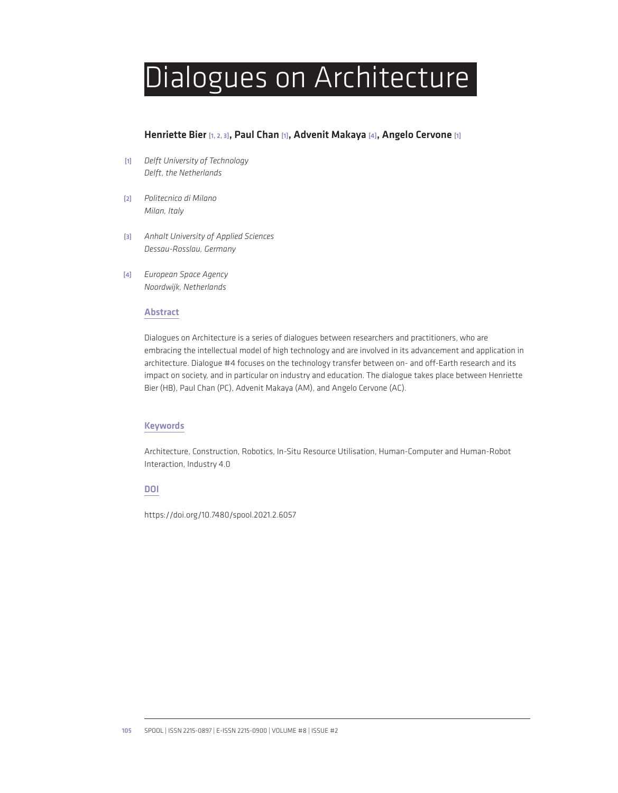# Dialogues on Architecture

# Henriette Bier [1, 2, 3], Paul Chan [1], Advenit Makaya [4], Angelo Cervone [1]

- [1] *Delft University of Technology Delft, the Netherlands*
- [2] *Politecnico di Milano Milan, Italy*
- [3] *Anhalt University of Applied Sciences Dessau-Rosslau, Germany*
- [4] *European Space Agency Noordwijk, Netherlands*

#### Abstract

Dialogues on Architecture is a series of dialogues between researchers and practitioners, who are embracing the intellectual model of high technology and are involved in its advancement and application in architecture. Dialogue #4 focuses on the technology transfer between on- and off-Earth research and its impact on society, and in particular on industry and education. The dialogue takes place between Henriette Bier (HB), Paul Chan (PC), Advenit Makaya (AM), and Angelo Cervone (AC).

## Keywords

Architecture, Construction, Robotics, In-Situ Resource Utilisation, Human-Computer and Human-Robot Interaction, Industry 4.0

#### DOI

https://doi.org/10.7480/spool.2021.2.6057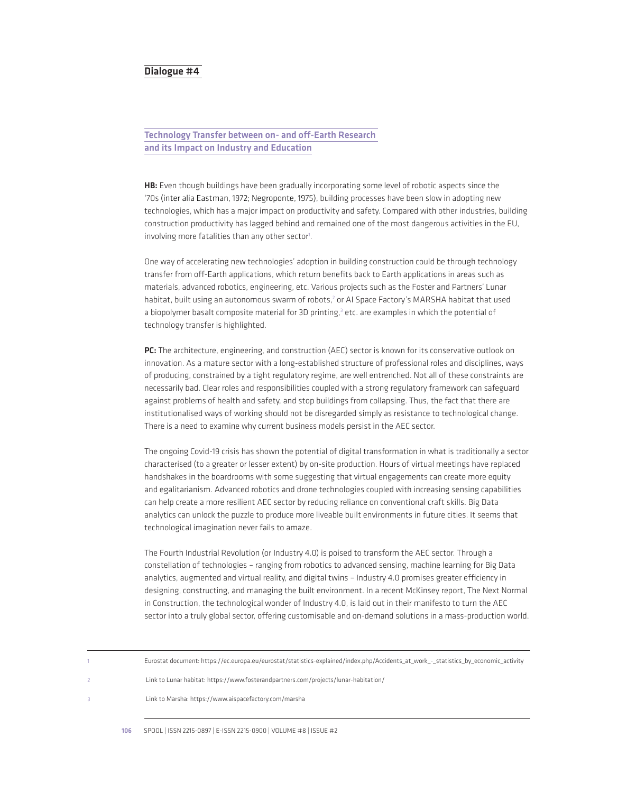# Dialogue #4

# Technology Transfer between on- and off-Earth Research and its Impact on Industry and Education

HB: Even though buildings have been gradually incorporating some level of robotic aspects since the '70s (inter alia Eastman, 1972; Negroponte, 1975), building processes have been slow in adopting new technologies, which has a major impact on productivity and safety. Compared with other industries, building construction productivity has lagged behind and remained one of the most dangerous activities in the EU, involving more fatalities than any other sector<sup>1</sup>.

One way of accelerating new technologies' adoption in building construction could be through technology transfer from off-Earth applications, which return benefits back to Earth applications in areas such as materials, advanced robotics, engineering, etc. Various projects such as the Foster and Partners' Lunar habitat, built using an autonomous swarm of robots,<sup>2</sup> or AI Space Factory's MARSHA habitat that used a biopolymer basalt composite material for 3D printing,<sup>3</sup> etc. are examples in which the potential of technology transfer is highlighted.

PC: The architecture, engineering, and construction (AEC) sector is known for its conservative outlook on innovation. As a mature sector with a long-established structure of professional roles and disciplines, ways of producing, constrained by a tight regulatory regime, are well entrenched. Not all of these constraints are necessarily bad. Clear roles and responsibilities coupled with a strong regulatory framework can safeguard against problems of health and safety, and stop buildings from collapsing. Thus, the fact that there are institutionalised ways of working should not be disregarded simply as resistance to technological change. There is a need to examine why current business models persist in the AEC sector.

The ongoing Covid-19 crisis has shown the potential of digital transformation in what is traditionally a sector characterised (to a greater or lesser extent) by on-site production. Hours of virtual meetings have replaced handshakes in the boardrooms with some suggesting that virtual engagements can create more equity and egalitarianism. Advanced robotics and drone technologies coupled with increasing sensing capabilities can help create a more resilient AEC sector by reducing reliance on conventional craft skills. Big Data analytics can unlock the puzzle to produce more liveable built environments in future cities. It seems that technological imagination never fails to amaze.

The Fourth Industrial Revolution (or Industry 4.0) is poised to transform the AEC sector. Through a constellation of technologies – ranging from robotics to advanced sensing, machine learning for Big Data analytics, augmented and virtual reality, and digital twins – Industry 4.0 promises greater efficiency in designing, constructing, and managing the built environment. In a recent McKinsey report, The Next Normal in Construction, the technological wonder of Industry 4.0, is laid out in their manifesto to turn the AEC sector into a truly global sector, offering customisable and on-demand solutions in a mass-production world.

| Eurostat document: https://ec.europa.eu/eurostat/statistics-explained/index.php/Accidents at work - statistics by economic activity |
|-------------------------------------------------------------------------------------------------------------------------------------|
| Link to Lunar habitat: https://www.fosterandpartners.com/projects/lunar-habitation/                                                 |
| Link to Marsha: https://www.aispacefactory.com/marsha                                                                               |
|                                                                                                                                     |

106 SPOOL | ISSN 2215-0897 | E-ISSN 2215-0900 | VOLUME #8 | ISSUE #2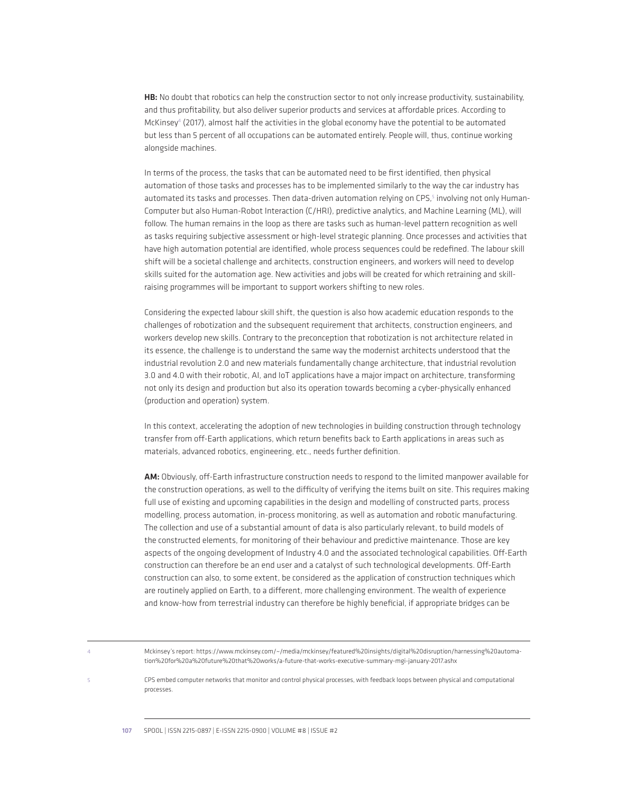HB: No doubt that robotics can help the construction sector to not only increase productivity, sustainability, and thus profitability, but also deliver superior products and services at affordable prices. According to McKinsey<sup>4</sup> (2017), almost half the activities in the global economy have the potential to be automated but less than 5 percent of all occupations can be automated entirely. People will, thus, continue working alongside machines.

In terms of the process, the tasks that can be automated need to be first identified, then physical automation of those tasks and processes has to be implemented similarly to the way the car industry has automated its tasks and processes. Then data-driven automation relying on CPS,<sup>5</sup> involving not only Human-Computer but also Human-Robot Interaction (C/HRI), predictive analytics, and Machine Learning (ML), will follow. The human remains in the loop as there are tasks such as human-level pattern recognition as well as tasks requiring subjective assessment or high-level strategic planning. Once processes and activities that have high automation potential are identified, whole process sequences could be redefined. The labour skill shift will be a societal challenge and architects, construction engineers, and workers will need to develop skills suited for the automation age. New activities and jobs will be created for which retraining and skillraising programmes will be important to support workers shifting to new roles.

Considering the expected labour skill shift, the question is also how academic education responds to the challenges of robotization and the subsequent requirement that architects, construction engineers, and workers develop new skills. Contrary to the preconception that robotization is not architecture related in its essence, the challenge is to understand the same way the modernist architects understood that the industrial revolution 2.0 and new materials fundamentally change architecture, that industrial revolution 3.0 and 4.0 with their robotic, AI, and IoT applications have a major impact on architecture, transforming not only its design and production but also its operation towards becoming a cyber-physically enhanced (production and operation) system.

In this context, accelerating the adoption of new technologies in building construction through technology transfer from off-Earth applications, which return benefits back to Earth applications in areas such as materials, advanced robotics, engineering, etc., needs further definition.

AM: Obviously, off-Earth infrastructure construction needs to respond to the limited manpower available for the construction operations, as well to the difficulty of verifying the items built on site. This requires making full use of existing and upcoming capabilities in the design and modelling of constructed parts, process modelling, process automation, in-process monitoring, as well as automation and robotic manufacturing. The collection and use of a substantial amount of data is also particularly relevant, to build models of the constructed elements, for monitoring of their behaviour and predictive maintenance. Those are key aspects of the ongoing development of Industry 4.0 and the associated technological capabilities. Off-Earth construction can therefore be an end user and a catalyst of such technological developments. Off-Earth construction can also, to some extent, be considered as the application of construction techniques which are routinely applied on Earth, to a different, more challenging environment. The wealth of experience and know-how from terrestrial industry can therefore be highly beneficial, if appropriate bridges can be

4 Mckinsey's report: https://www.mckinsey.com/~/media/mckinsey/featured%20insights/digital%20disruption/harnessing%20automation%20for%20a%20future%20that%20works/a-future-that-works-executive-summary-mgi-january-2017.ashx

5 CPS embed computer networks that monitor and control physical processes, with feedback loops between physical and computational processes.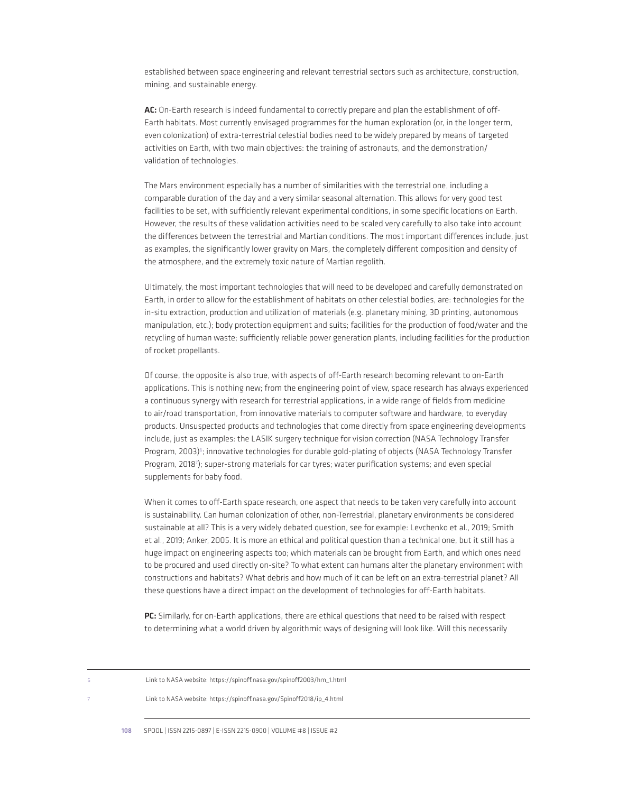established between space engineering and relevant terrestrial sectors such as architecture, construction, mining, and sustainable energy.

AC: On-Earth research is indeed fundamental to correctly prepare and plan the establishment of off-Earth habitats. Most currently envisaged programmes for the human exploration (or, in the longer term, even colonization) of extra-terrestrial celestial bodies need to be widely prepared by means of targeted activities on Earth, with two main objectives: the training of astronauts, and the demonstration/ validation of technologies.

The Mars environment especially has a number of similarities with the terrestrial one, including a comparable duration of the day and a very similar seasonal alternation. This allows for very good test facilities to be set, with sufficiently relevant experimental conditions, in some specific locations on Earth. However, the results of these validation activities need to be scaled very carefully to also take into account the differences between the terrestrial and Martian conditions. The most important differences include, just as examples, the significantly lower gravity on Mars, the completely different composition and density of the atmosphere, and the extremely toxic nature of Martian regolith.

Ultimately, the most important technologies that will need to be developed and carefully demonstrated on Earth, in order to allow for the establishment of habitats on other celestial bodies, are: technologies for the in-situ extraction, production and utilization of materials (e.g. planetary mining, 3D printing, autonomous manipulation, etc.); body protection equipment and suits; facilities for the production of food/water and the recycling of human waste; sufficiently reliable power generation plants, including facilities for the production of rocket propellants.

Of course, the opposite is also true, with aspects of off-Earth research becoming relevant to on-Earth applications. This is nothing new; from the engineering point of view, space research has always experienced a continuous synergy with research for terrestrial applications, in a wide range of fields from medicine to air/road transportation, from innovative materials to computer software and hardware, to everyday products. Unsuspected products and technologies that come directly from space engineering developments include, just as examples: the LASIK surgery technique for vision correction (NASA Technology Transfer Program, 2003)<sup>6</sup>; innovative technologies for durable gold-plating of objects (NASA Technology Transfer Program, 2018<sup>7</sup>); super-strong materials for car tyres; water purification systems; and even special supplements for baby food.

When it comes to off-Earth space research, one aspect that needs to be taken very carefully into account is sustainability. Can human colonization of other, non-Terrestrial, planetary environments be considered sustainable at all? This is a very widely debated question, see for example: Levchenko et al., 2019; Smith et al., 2019; Anker, 2005. It is more an ethical and political question than a technical one, but it still has a huge impact on engineering aspects too; which materials can be brought from Earth, and which ones need to be procured and used directly on-site? To what extent can humans alter the planetary environment with constructions and habitats? What debris and how much of it can be left on an extra-terrestrial planet? All these questions have a direct impact on the development of technologies for off-Earth habitats.

PC: Similarly, for on-Earth applications, there are ethical questions that need to be raised with respect to determining what a world driven by algorithmic ways of designing will look like. Will this necessarily

| Link to NASA website: https://spinoff.nasa.gov/spinoff2003/hm_1.html |
|----------------------------------------------------------------------|
| Link to NASA website: https://spinoff.nasa.gov/Spinoff2018/ip 4.html |
|                                                                      |

108 SPOOL | ISSN 2215-0897 | E-ISSN 2215-0900 | VOLUME #8 | ISSUE #2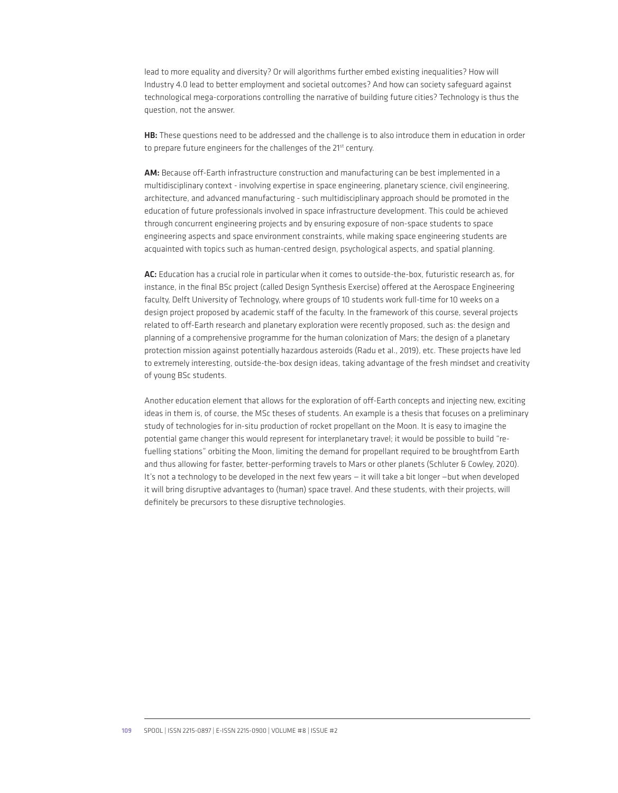lead to more equality and diversity? Or will algorithms further embed existing inequalities? How will Industry 4.0 lead to better employment and societal outcomes? And how can society safeguard against technological mega-corporations controlling the narrative of building future cities? Technology is thus the question, not the answer.

HB: These questions need to be addressed and the challenge is to also introduce them in education in order to prepare future engineers for the challenges of the 21<sup>st</sup> century.

AM: Because off-Earth infrastructure construction and manufacturing can be best implemented in a multidisciplinary context - involving expertise in space engineering, planetary science, civil engineering, architecture, and advanced manufacturing - such multidisciplinary approach should be promoted in the education of future professionals involved in space infrastructure development. This could be achieved through concurrent engineering projects and by ensuring exposure of non-space students to space engineering aspects and space environment constraints, while making space engineering students are acquainted with topics such as human-centred design, psychological aspects, and spatial planning.

AC: Education has a crucial role in particular when it comes to outside-the-box, futuristic research as, for instance, in the final BSc project (called Design Synthesis Exercise) offered at the Aerospace Engineering faculty, Delft University of Technology, where groups of 10 students work full-time for 10 weeks on a design project proposed by academic staff of the faculty. In the framework of this course, several projects related to off-Earth research and planetary exploration were recently proposed, such as: the design and planning of a comprehensive programme for the human colonization of Mars; the design of a planetary protection mission against potentially hazardous asteroids (Radu et al., 2019), etc. These projects have led to extremely interesting, outside-the-box design ideas, taking advantage of the fresh mindset and creativity of young BSc students.

Another education element that allows for the exploration of off-Earth concepts and injecting new, exciting ideas in them is, of course, the MSc theses of students. An example is a thesis that focuses on a preliminary study of technologies for in-situ production of rocket propellant on the Moon. It is easy to imagine the potential game changer this would represent for interplanetary travel; it would be possible to build "refuelling stations" orbiting the Moon, limiting the demand for propellant required to be broughtfrom Earth and thus allowing for faster, better-performing travels to Mars or other planets (Schluter & Cowley, 2020). It's not a technology to be developed in the next few years — it will take a bit longer —but when developed it will bring disruptive advantages to (human) space travel. And these students, with their projects, will definitely be precursors to these disruptive technologies.